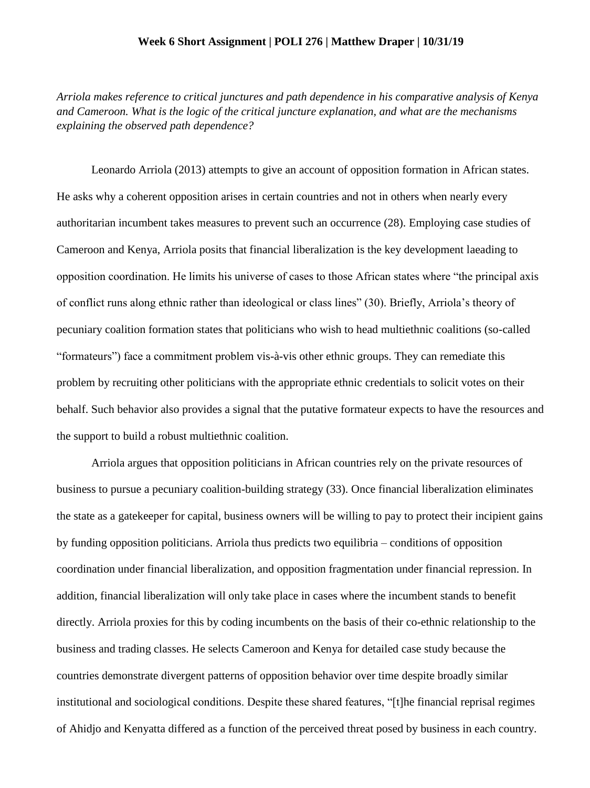## **Week 6 Short Assignment | POLI 276 | Matthew Draper | 10/31/19**

*Arriola makes reference to critical junctures and path dependence in his comparative analysis of Kenya and Cameroon. What is the logic of the critical juncture explanation, and what are the mechanisms explaining the observed path dependence?*

Leonardo Arriola (2013) attempts to give an account of opposition formation in African states. He asks why a coherent opposition arises in certain countries and not in others when nearly every authoritarian incumbent takes measures to prevent such an occurrence (28). Employing case studies of Cameroon and Kenya, Arriola posits that financial liberalization is the key development laeading to opposition coordination. He limits his universe of cases to those African states where "the principal axis of conflict runs along ethnic rather than ideological or class lines" (30). Briefly, Arriola's theory of pecuniary coalition formation states that politicians who wish to head multiethnic coalitions (so-called "formateurs") face a commitment problem vis-à-vis other ethnic groups. They can remediate this problem by recruiting other politicians with the appropriate ethnic credentials to solicit votes on their behalf. Such behavior also provides a signal that the putative formateur expects to have the resources and the support to build a robust multiethnic coalition.

Arriola argues that opposition politicians in African countries rely on the private resources of business to pursue a pecuniary coalition-building strategy (33). Once financial liberalization eliminates the state as a gatekeeper for capital, business owners will be willing to pay to protect their incipient gains by funding opposition politicians. Arriola thus predicts two equilibria – conditions of opposition coordination under financial liberalization, and opposition fragmentation under financial repression. In addition, financial liberalization will only take place in cases where the incumbent stands to benefit directly. Arriola proxies for this by coding incumbents on the basis of their co-ethnic relationship to the business and trading classes. He selects Cameroon and Kenya for detailed case study because the countries demonstrate divergent patterns of opposition behavior over time despite broadly similar institutional and sociological conditions. Despite these shared features, "[t]he financial reprisal regimes of Ahidjo and Kenyatta differed as a function of the perceived threat posed by business in each country.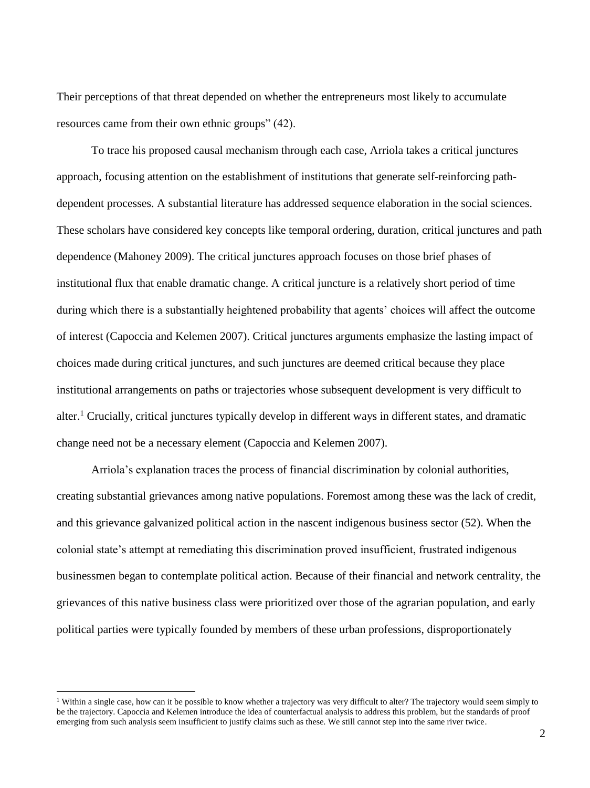Their perceptions of that threat depended on whether the entrepreneurs most likely to accumulate resources came from their own ethnic groups" (42).

To trace his proposed causal mechanism through each case, Arriola takes a critical junctures approach, focusing attention on the establishment of institutions that generate self-reinforcing pathdependent processes. A substantial literature has addressed sequence elaboration in the social sciences. These scholars have considered key concepts like temporal ordering, duration, critical junctures and path dependence (Mahoney 2009). The critical junctures approach focuses on those brief phases of institutional flux that enable dramatic change. A critical juncture is a relatively short period of time during which there is a substantially heightened probability that agents' choices will affect the outcome of interest (Capoccia and Kelemen 2007). Critical junctures arguments emphasize the lasting impact of choices made during critical junctures, and such junctures are deemed critical because they place institutional arrangements on paths or trajectories whose subsequent development is very difficult to alter.<sup>1</sup> Crucially, critical junctures typically develop in different ways in different states, and dramatic change need not be a necessary element (Capoccia and Kelemen 2007).

Arriola's explanation traces the process of financial discrimination by colonial authorities, creating substantial grievances among native populations. Foremost among these was the lack of credit, and this grievance galvanized political action in the nascent indigenous business sector (52). When the colonial state's attempt at remediating this discrimination proved insufficient, frustrated indigenous businessmen began to contemplate political action. Because of their financial and network centrality, the grievances of this native business class were prioritized over those of the agrarian population, and early political parties were typically founded by members of these urban professions, disproportionately

 $\overline{a}$ 

<sup>&</sup>lt;sup>1</sup> Within a single case, how can it be possible to know whether a trajectory was very difficult to alter? The trajectory would seem simply to be the trajectory. Capoccia and Kelemen introduce the idea of counterfactual analysis to address this problem, but the standards of proof emerging from such analysis seem insufficient to justify claims such as these. We still cannot step into the same river twice.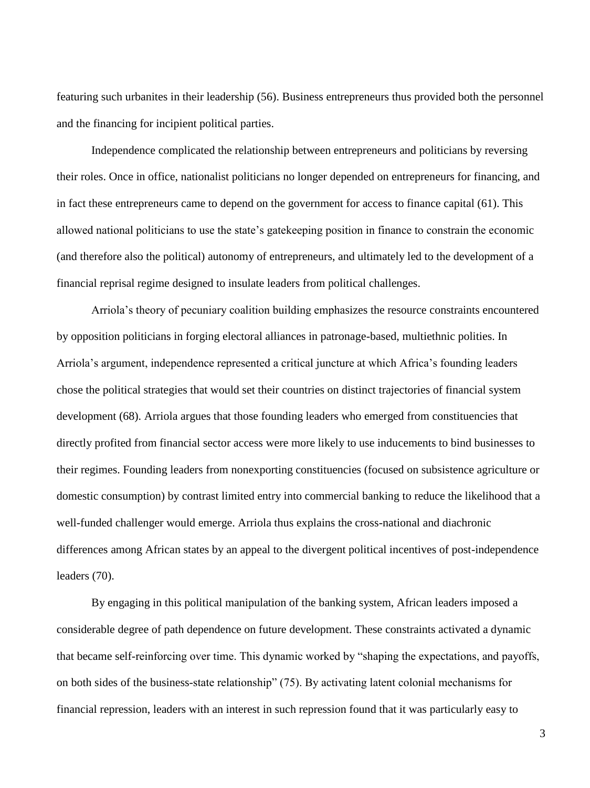featuring such urbanites in their leadership (56). Business entrepreneurs thus provided both the personnel and the financing for incipient political parties.

Independence complicated the relationship between entrepreneurs and politicians by reversing their roles. Once in office, nationalist politicians no longer depended on entrepreneurs for financing, and in fact these entrepreneurs came to depend on the government for access to finance capital (61). This allowed national politicians to use the state's gatekeeping position in finance to constrain the economic (and therefore also the political) autonomy of entrepreneurs, and ultimately led to the development of a financial reprisal regime designed to insulate leaders from political challenges.

Arriola's theory of pecuniary coalition building emphasizes the resource constraints encountered by opposition politicians in forging electoral alliances in patronage-based, multiethnic polities. In Arriola's argument, independence represented a critical juncture at which Africa's founding leaders chose the political strategies that would set their countries on distinct trajectories of financial system development (68). Arriola argues that those founding leaders who emerged from constituencies that directly profited from financial sector access were more likely to use inducements to bind businesses to their regimes. Founding leaders from nonexporting constituencies (focused on subsistence agriculture or domestic consumption) by contrast limited entry into commercial banking to reduce the likelihood that a well-funded challenger would emerge. Arriola thus explains the cross-national and diachronic differences among African states by an appeal to the divergent political incentives of post-independence leaders (70).

By engaging in this political manipulation of the banking system, African leaders imposed a considerable degree of path dependence on future development. These constraints activated a dynamic that became self-reinforcing over time. This dynamic worked by "shaping the expectations, and payoffs, on both sides of the business-state relationship" (75). By activating latent colonial mechanisms for financial repression, leaders with an interest in such repression found that it was particularly easy to

3